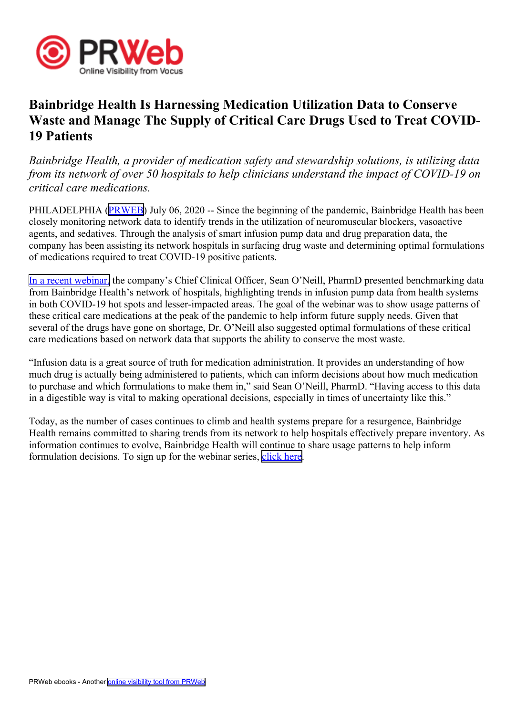

## **Bainbridge Health Is Harnessing Medication Utilization Data to Conserve Waste and Manage The Supply of Critical Care Drugs Used to Treat COVID-19 Patients**

*Bainbridge Health, <sup>a</sup> provider of medication safety and stewardship solutions, is utilizing data from its network of over 50 hospitals to help clinicians understand the impact of COVID-19 on critical care medications.*

PHILADELPHIA ([PRWEB](http://www.prweb.com)) July 06, 2020 -- Since the beginning of the pandemic, Bainbridge Health has been closely monitoring network data to identify trends in the utilization of neuromuscular blockers, vasoactive agents, and sedatives. Through the analysis of smart infusion pump data and drug preparation data, the company has been assisting its network hospitals in surfacing drug waste and determining optimal formulations of medications required to treat COVID-19 positive patients.

In <sup>a</sup> recent [webinar,](https://bainbridgehealth.com/resources/covid-webinar/) the company's Chief Clinical Officer, Sean O'Neill, PharmD presented benchmarking data from Bainbridge Health's network of hospitals, highlighting trends in infusion pump data from health systems in both COVID-19 hot spots and lesser-impacted areas. The goal of the webinar was to show usage patterns of these critical care medications at the peak of the pandemic to help inform future supply needs. Given that several of the drugs have gone on shortage, Dr. O'Neill also suggested optimal formulations of these critical care medications based on network data that supports the ability to conserve the most waste.

"Infusion data is <sup>a</sup> grea<sup>t</sup> source of truth for medication administration. It provides an understanding of how much drug is actually being administered to patients, which can inform decisions about how much medication to purchase and which formulations to make them in," said Sean O'Neill, PharmD. "Having access to this data in <sup>a</sup> digestible way is vital to making operational decisions, especially in times of uncertainty like this."

Today, as the number of cases continues to climb and health systems prepare for <sup>a</sup> resurgence, Bainbridge Health remains committed to sharing trends from its network to help hospitals effectively prepare inventory. As information continues to evolve, Bainbridge Health will continue to share usage patterns to help inform formulation decisions. To sign up for the webinar series, [click](https://bainbridgehealth.com/#webinar) here.